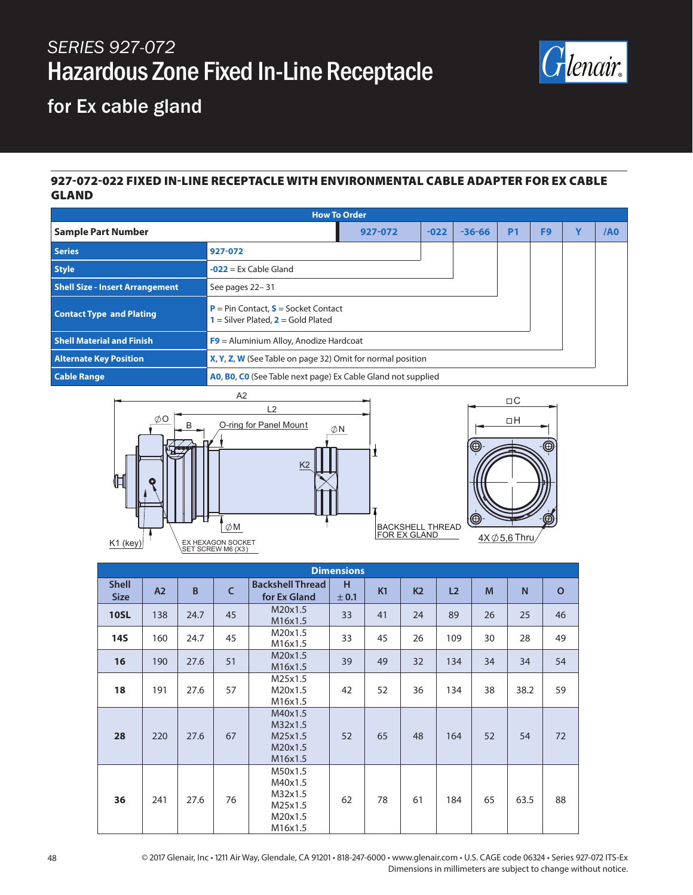## *SERIES 927-072* Hazardous Zone Fixed In-Line Receptacle



### for Ex cable gland

#### 927-072-022 FIXED IN-LINE RECEPTACLE WITH ENVIRONMENTAL CABLE ADAPTER FOR EX CABLE GLAND

| <b>How To Order</b>                    |                                                                                 |                                        |        |          |           |                |   |     |
|----------------------------------------|---------------------------------------------------------------------------------|----------------------------------------|--------|----------|-----------|----------------|---|-----|
| <b>Sample Part Number</b>              |                                                                                 | 927-072                                | $-022$ | $-36-66$ | <b>P1</b> | F <sub>9</sub> | Y | /AO |
| <b>Series</b>                          | 927-072                                                                         |                                        |        |          |           |                |   |     |
| <b>Style</b>                           | $-022$ = Ex Cable Gland                                                         |                                        |        |          |           |                |   |     |
| <b>Shell Size - Insert Arrangement</b> | See pages 22-31                                                                 |                                        |        |          |           |                |   |     |
| <b>Contact Type and Plating</b>        | $P = Pin Contact, S = Socket Contact$<br>$1 =$ Silver Plated, $2 =$ Gold Plated |                                        |        |          |           |                |   |     |
| <b>Shell Material and Finish</b>       |                                                                                 | F9 = Aluminium Alloy, Anodize Hardcoat |        |          |           |                |   |     |
| <b>Alternate Key Position</b>          | X, Y, Z, W (See Table on page 32) Omit for normal position                      |                                        |        |          |           |                |   |     |
| <b>Cable Range</b>                     | <b>A0, B0, C0</b> (See Table next page) Ex Cable Gland not supplied             |                                        |        |          |           |                |   |     |





| <b>Dimensions</b>           |     |      |              |                                                                |            |    |                |     |    |      |              |
|-----------------------------|-----|------|--------------|----------------------------------------------------------------|------------|----|----------------|-----|----|------|--------------|
| <b>Shell</b><br><b>Size</b> | A2  | B    | $\mathsf{C}$ | <b>Backshell Thread</b><br>for Ex Gland                        | H<br>± 0.1 | K1 | K <sub>2</sub> | L2  | M  | N    | $\mathbf{o}$ |
| <b>10SL</b>                 | 138 | 24.7 | 45           | M20x1.5<br>M16x1.5                                             | 33         | 41 | 24             | 89  | 26 | 25   | 46           |
| <b>14S</b>                  | 160 | 24.7 | 45           | M20x1.5<br>M16x1.5                                             | 33         | 45 | 26             | 109 | 30 | 28   | 49           |
| 16                          | 190 | 27.6 | 51           | M20x1.5<br>M16x1.5                                             | 39         | 49 | 32             | 134 | 34 | 34   | 54           |
| 18                          | 191 | 27.6 | 57           | M25x1.5<br>M20x1.5<br>M16x1.5                                  | 42         | 52 | 36             | 134 | 38 | 38.2 | 59           |
| 28                          | 220 | 27.6 | 67           | M40x1.5<br>M32x1.5<br>M25x1.5<br>M20x1.5<br>M16x1.5            | 52         | 65 | 48             | 164 | 52 | 54   | 72           |
| 36                          | 241 | 27.6 | 76           | M50x1.5<br>M40x1.5<br>M32x1.5<br>M25x1.5<br>M20x1.5<br>M16x1.5 | 62         | 78 | 61             | 184 | 65 | 63.5 | 88           |